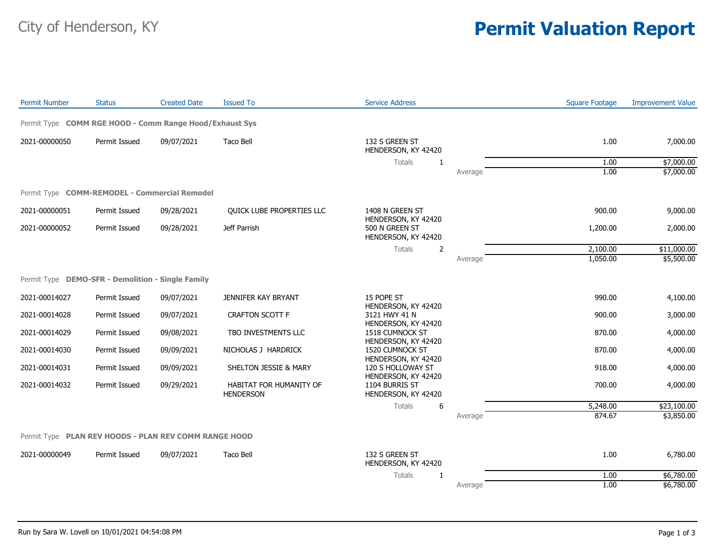## City of Henderson, KY **Permit Valuation Report**

| <b>Permit Number</b>                                    | <b>Status</b> | <b>Created Date</b> | <b>Issued To</b>                            | <b>Service Address</b>                                       |         | <b>Square Footage</b> | <b>Improvement Value</b> |
|---------------------------------------------------------|---------------|---------------------|---------------------------------------------|--------------------------------------------------------------|---------|-----------------------|--------------------------|
| Permit Type COMM RGE HOOD - Comm Range Hood/Exhaust Sys |               |                     |                                             |                                                              |         |                       |                          |
| 2021-00000050                                           | Permit Issued | 09/07/2021          | Taco Bell                                   | 132 S GREEN ST<br>HENDERSON, KY 42420                        |         | 1.00                  | 7,000.00                 |
|                                                         |               |                     |                                             | <b>Totals</b><br>1                                           |         | 1.00                  | \$7,000.00               |
|                                                         |               |                     |                                             |                                                              | Average | 1.00                  | \$7,000.00               |
| Permit Type COMM-REMODEL - Commercial Remodel           |               |                     |                                             |                                                              |         |                       |                          |
| 2021-00000051                                           | Permit Issued | 09/28/2021          | <b>OUICK LUBE PROPERTIES LLC</b>            | 1408 N GREEN ST                                              |         | 900.00                | 9,000.00                 |
| 2021-00000052                                           | Permit Issued | 09/28/2021          | Jeff Parrish                                | HENDERSON, KY 42420<br>500 N GREEN ST<br>HENDERSON, KY 42420 |         | 1,200.00              | 2,000.00                 |
|                                                         |               |                     |                                             | Totals<br>2                                                  |         | 2,100.00              | \$11,000.00              |
|                                                         |               |                     |                                             |                                                              | Average | 1,050.00              | \$5,500.00               |
| Permit Type DEMO-SFR - Demolition - Single Family       |               |                     |                                             |                                                              |         |                       |                          |
| 2021-00014027                                           | Permit Issued | 09/07/2021          | JENNIFER KAY BRYANT                         | 15 POPE ST<br>HENDERSON, KY 42420                            |         | 990.00                | 4,100.00                 |
| 2021-00014028                                           | Permit Issued | 09/07/2021          | <b>CRAFTON SCOTT F</b>                      | 3121 HWY 41 N<br>HENDERSON, KY 42420                         |         | 900.00                | 3,000.00                 |
| 2021-00014029                                           | Permit Issued | 09/08/2021          | TBO INVESTMENTS LLC                         | 1518 CUMNOCK ST<br>HENDERSON, KY 42420                       |         | 870.00                | 4,000.00                 |
| 2021-00014030                                           | Permit Issued | 09/09/2021          | NICHOLAS J HARDRICK                         | 1520 CUMNOCK ST<br>HENDERSON, KY 42420                       |         | 870.00                | 4,000.00                 |
| 2021-00014031                                           | Permit Issued | 09/09/2021          | SHELTON JESSIE & MARY                       | 120 S HOLLOWAY ST<br>HENDERSON, KY 42420                     |         | 918.00                | 4,000.00                 |
| 2021-00014032                                           | Permit Issued | 09/29/2021          | HABITAT FOR HUMANITY OF<br><b>HENDERSON</b> | 1104 BURRIS ST<br>HENDERSON, KY 42420                        |         | 700.00                | 4,000.00                 |
|                                                         |               |                     |                                             | Totals<br>6                                                  |         | 5,248.00              | \$23,100.00              |
|                                                         |               |                     |                                             |                                                              | Average | 874.67                | \$3,850.00               |
| Permit Type PLAN REV HOODS - PLAN REV COMM RANGE HOOD   |               |                     |                                             |                                                              |         |                       |                          |
| 2021-00000049                                           | Permit Issued | 09/07/2021          | <b>Taco Bell</b>                            | 132 S GREEN ST<br>HENDERSON, KY 42420                        |         | 1.00                  | 6,780.00                 |
|                                                         |               |                     |                                             | Totals<br>1                                                  |         | 1.00                  | \$6,780.00               |
|                                                         |               |                     |                                             |                                                              | Average | 1.00                  | \$6,780.00               |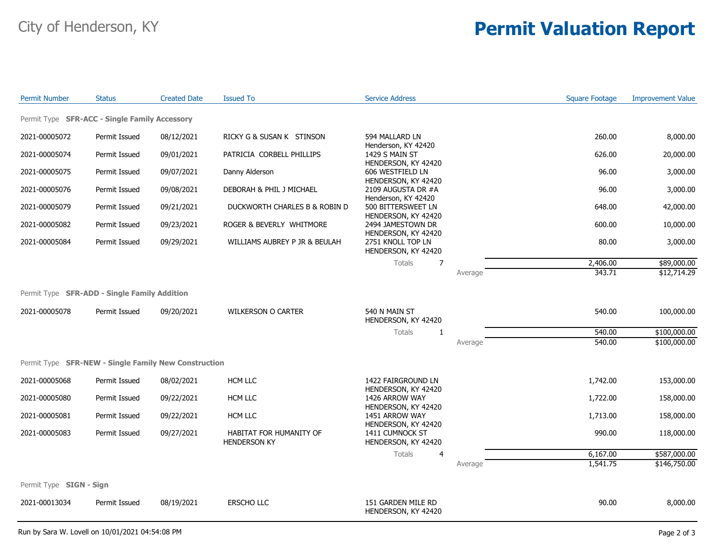## City of Henderson, KY **Permit Valuation Report**

| <b>Permit Number</b>                                 | <b>Status</b> | <b>Created Date</b> | <b>Issued To</b>                               | <b>Service Address</b>                                          |         | <b>Square Footage</b> | <b>Improvement Value</b> |  |
|------------------------------------------------------|---------------|---------------------|------------------------------------------------|-----------------------------------------------------------------|---------|-----------------------|--------------------------|--|
| Permit Type SFR-ACC - Single Family Accessory        |               |                     |                                                |                                                                 |         |                       |                          |  |
| 2021-00005072                                        | Permit Issued | 08/12/2021          | RICKY G & SUSAN K STINSON                      | 594 MALLARD LN                                                  |         | 260.00                | 8,000.00                 |  |
| 2021-00005074                                        | Permit Issued | 09/01/2021          | PATRICIA CORBELL PHILLIPS                      | Henderson, KY 42420<br>1429 S MAIN ST                           |         | 626.00                | 20,000.00                |  |
| 2021-00005075                                        | Permit Issued | 09/07/2021          | Danny Alderson                                 | HENDERSON, KY 42420<br>606 WESTFIELD LN                         |         | 96.00                 | 3,000.00                 |  |
| 2021-00005076                                        | Permit Issued | 09/08/2021          | DEBORAH & PHIL J MICHAEL                       | HENDERSON, KY 42420<br>2109 AUGUSTA DR #A                       |         | 96.00                 | 3,000.00                 |  |
| 2021-00005079                                        | Permit Issued | 09/21/2021          | DUCKWORTH CHARLES B & ROBIN D                  | Henderson, KY 42420<br>500 BITTERSWEET LN                       |         | 648.00                | 42,000.00                |  |
| 2021-00005082                                        | Permit Issued | 09/23/2021          | ROGER & BEVERLY WHITMORE                       | HENDERSON, KY 42420<br>2494 JAMESTOWN DR                        |         | 600.00                | 10,000.00                |  |
| 2021-00005084                                        | Permit Issued | 09/29/2021          | WILLIAMS AUBREY P JR & BEULAH                  | HENDERSON, KY 42420<br>2751 KNOLL TOP LN<br>HENDERSON, KY 42420 |         | 80.00                 | 3,000.00                 |  |
|                                                      |               |                     |                                                | $\overline{7}$<br><b>Totals</b>                                 |         | 2,406.00              | \$89,000.00              |  |
|                                                      |               |                     |                                                |                                                                 | Average | 343.71                | \$12,714.29              |  |
| Permit Type SFR-ADD - Single Family Addition         |               |                     |                                                |                                                                 |         |                       |                          |  |
| 2021-00005078                                        | Permit Issued | 09/20/2021          | <b>WILKERSON O CARTER</b>                      | 540 N MAIN ST<br>HENDERSON, KY 42420                            |         | 540.00                | 100,000.00               |  |
|                                                      |               |                     |                                                | <b>Totals</b><br>$\mathbf{1}$                                   |         | 540.00                | \$100,000.00             |  |
|                                                      |               |                     |                                                |                                                                 | Average | 540.00                | \$100,000.00             |  |
| Permit Type SFR-NEW - Single Family New Construction |               |                     |                                                |                                                                 |         |                       |                          |  |
| 2021-00005068                                        | Permit Issued | 08/02/2021          | HCM LLC                                        | 1422 FAIRGROUND LN                                              |         | 1,742.00              | 153,000.00               |  |
| 2021-00005080                                        | Permit Issued | 09/22/2021          | HCM LLC                                        | HENDERSON, KY 42420<br>1426 ARROW WAY                           |         | 1,722.00              | 158,000.00               |  |
| 2021-00005081                                        | Permit Issued | 09/22/2021          | HCM LLC                                        | HENDERSON, KY 42420<br>1451 ARROW WAY                           |         | 1,713.00              | 158,000.00               |  |
| 2021-00005083                                        | Permit Issued | 09/27/2021          | HABITAT FOR HUMANITY OF<br><b>HENDERSON KY</b> | HENDERSON, KY 42420<br>1411 CUMNOCK ST<br>HENDERSON, KY 42420   |         | 990.00                | 118,000.00               |  |
|                                                      |               |                     |                                                | <b>Totals</b><br>$\overline{4}$                                 |         | 6,167.00              | \$587,000.00             |  |
|                                                      |               |                     |                                                |                                                                 | Average | 1,541.75              | \$146,750.00             |  |
| Permit Type SIGN - Sign                              |               |                     |                                                |                                                                 |         |                       |                          |  |
| 2021-00013034                                        | Permit Issued | 08/19/2021          | ERSCHO LLC                                     | 151 GARDEN MILE RD<br>HENDERSON, KY 42420                       |         | 90.00                 | 8,000.00                 |  |